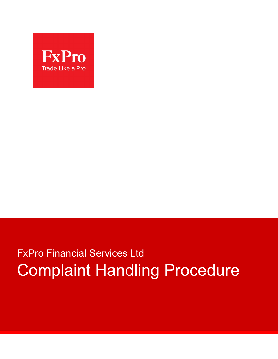

# FxPro Financial Services Ltd Complaint Handling Procedure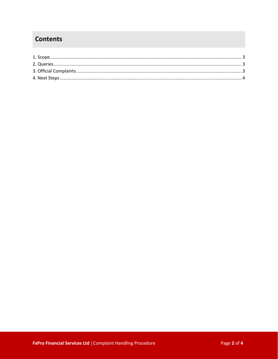## **Contents**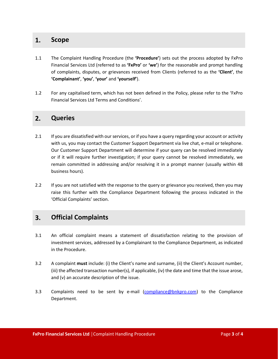#### **1. Scope**

- 1.1 The Complaint Handling Procedure (the **'Procedure'**) sets out the process adopted by FxPro Financial Services Ltd (referred to as **'FxPro'** or **'we'**) for the reasonable and prompt handling of complaints, disputes, or grievances received from Clients (referred to as the **'Client'**, the **'Complainant'**, **'you'**, **'your'** and **'yourself'**).
- 1.2 For any capitalised term, which has not been defined in the Policy, please refer to the 'FxPro Financial Services Ltd Terms and Conditions'.

#### **2. Queries**

- 2.1 If you are dissatisfied with our services, or if you have a query regarding your account or activity with us, you may contact the Customer Support Department via live chat, e-mail or telephone. Our Customer Support Department will determine if your query can be resolved immediately or if it will require further investigation; if your query cannot be resolved immediately, we remain committed in addressing and/or resolving it in a prompt manner (usually within 48 business hours).
- 2.2 If you are not satisfied with the response to the query or grievance you received, then you may raise this further with the Compliance Department following the process indicated in the 'Official Complaints' section.

### **3. Official Complaints**

- 3.1 An official complaint means a statement of dissatisfaction relating to the provision of investment services, addressed by a Complainant to the Compliance Department, as indicated in the Procedure.
- 3.2 A complaint **must** include: (i) the Client's name and surname, (ii) the Client's Account number, (iii) the affected transaction number(s), if applicable, (iv) the date and time that the issue arose, and (v) an accurate description of the issue.
- 3.3 Complaints need to be sent by e-mail [\(compliance@bnkpro.com](mailto:compliance@fxpro.com)) to the Compliance Department.